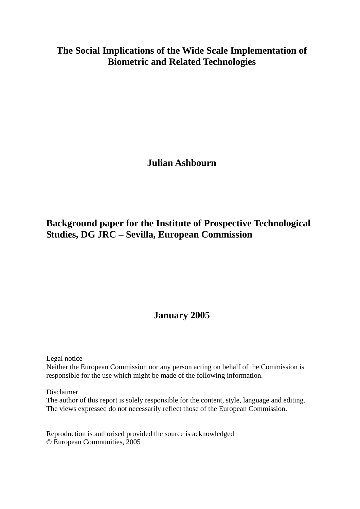# **The Social Implications of the Wide Scale Implementation of Biometric and Related Technologies**

**Julian Ashbourn** 

# **Background paper for the Institute of Prospective Technological Studies, DG JRC – Sevilla, European Commission**

# **January 2005**

Legal notice

Neither the European Commission nor any person acting on behalf of the Commission is responsible for the use which might be made of the following information.

Disclaimer

The author of this report is solely responsible for the content, style, language and editing. The views expressed do not necessarily reflect those of the European Commission.

Reproduction is authorised provided the source is acknowledged © European Communities, 2005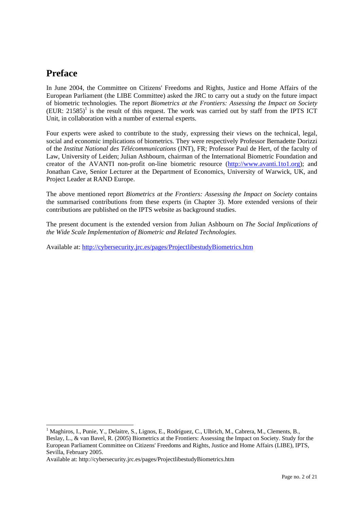## **Preface**

l

In June 2004, the Committee on Citizens' Freedoms and Rights, Justice and Home Affairs of the European Parliament (the LIBE Committee) asked the JRC to carry out a study on the future impact of biometric technologies. The report *Biometrics at the Frontiers: Assessing the Impact on Society*  $(EUR: 21585)^1$  is the result of this request. The work was carried out by staff from the IPTS ICT Unit, in collaboration with a number of external experts.

Four experts were asked to contribute to the study, expressing their views on the technical, legal, social and economic implications of biometrics. They were respectively Professor Bernadette Dorizzi of the *Institut National des Télécommunications* (INT), FR; Professor Paul de Hert, of the faculty of Law, University of Leiden; Julian Ashbourn, chairman of the International Biometric Foundation and creator of the AVANTI non-profit on-line biometric resource (http://www.avanti.1to1.org); and Jonathan Cave, Senior Lecturer at the Department of Economics, University of Warwick, UK, and Project Leader at RAND Europe.

The above mentioned report *Biometrics at the Frontiers: Assessing the Impact on Society* contains the summarised contributions from these experts (in Chapter 3). More extended versions of their contributions are published on the IPTS website as background studies.

The present document is the extended version from Julian Ashbourn on *The Social Implications of the Wide Scale Implementation of Biometric and Related Technologies.* 

Available at: http://cybersecurity.jrc.es/pages/ProjectlibestudyBiometrics.htm

<sup>&</sup>lt;sup>1</sup> Maghiros, I., Punie, Y., Delaitre, S., Lignos, E., Rodríguez, C., Ulbrich, M., Cabrera, M., Clements, B., Beslay, L., & van Bavel, R. (2005) Biometrics at the Frontiers: Assessing the Impact on Society. Study for the European Parliament Committee on Citizens' Freedoms and Rights, Justice and Home Affairs (LIBE), IPTS, Sevilla, February 2005.

Available at: http://cybersecurity.jrc.es/pages/ProjectlibestudyBiometrics.htm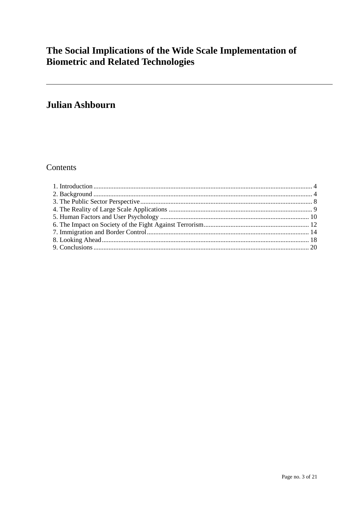# The Social Implications of the Wide Scale Implementation of **Biometric and Related Technologies**

# Julian Ashbourn

## Contents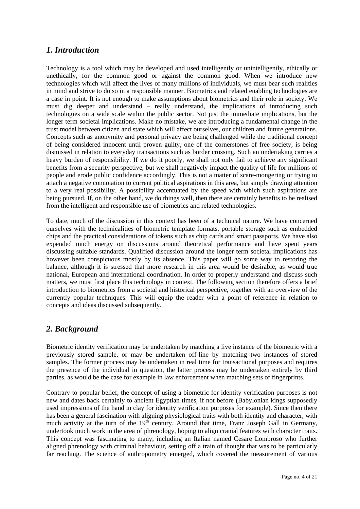### *1. Introduction*

Technology is a tool which may be developed and used intelligently or unintelligently, ethically or unethically, for the common good or against the common good. When we introduce new technologies which will affect the lives of many millions of individuals, we must bear such realities in mind and strive to do so in a responsible manner. Biometrics and related enabling technologies are a case in point. It is not enough to make assumptions about biometrics and their role in society. We must dig deeper and understand – really understand, the implications of introducing such technologies on a wide scale within the public sector. Not just the immediate implications, but the longer term societal implications. Make no mistake, we are introducing a fundamental change in the trust model between citizen and state which will affect ourselves, our children and future generations. Concepts such as anonymity and personal privacy are being challenged while the traditional concept of being considered innocent until proven guilty, one of the cornerstones of free society, is being dismissed in relation to everyday transactions such as border crossing. Such an undertaking carries a heavy burden of responsibility. If we do it poorly, we shall not only fail to achieve any significant benefits from a security perspective, but we shall negatively impact the quality of life for millions of people and erode public confidence accordingly. This is not a matter of scare-mongering or trying to attach a negative connotation to current political aspirations in this area, but simply drawing attention to a very real possibility. A possibility accentuated by the speed with which such aspirations are being pursued. If, on the other hand, we do things well, then there are certainly benefits to be realised from the intelligent and responsible use of biometrics and related technologies.

To date, much of the discussion in this context has been of a technical nature. We have concerned ourselves with the technicalities of biometric template formats, portable storage such as embedded chips and the practical considerations of tokens such as chip cards and smart passports. We have also expended much energy on discussions around theoretical performance and have spent years discussing suitable standards. Qualified discussion around the longer term societal implications has however been conspicuous mostly by its absence. This paper will go some way to restoring the balance, although it is stressed that more research in this area would be desirable, as would true national, European and international coordination. In order to properly understand and discuss such matters, we must first place this technology in context. The following section therefore offers a brief introduction to biometrics from a societal and historical perspective, together with an overview of the currently popular techniques. This will equip the reader with a point of reference in relation to concepts and ideas discussed subsequently.

## *2. Background*

Biometric identity verification may be undertaken by matching a live instance of the biometric with a previously stored sample, or may be undertaken off-line by matching two instances of stored samples. The former process may be undertaken in real time for transactional purposes and requires the presence of the individual in question, the latter process may be undertaken entirely by third parties, as would be the case for example in law enforcement when matching sets of fingerprints.

Contrary to popular belief, the concept of using a biometric for identity verification purposes is not new and dates back certainly to ancient Egyptian times, if not before (Babylonian kings supposedly used impressions of the hand in clay for identity verification purposes for example). Since then there has been a general fascination with aligning physiological traits with both identity and character, with much activity at the turn of the  $19<sup>th</sup>$  century. Around that time, Franz Joseph Gall in Germany, undertook much work in the area of phrenology, hoping to align cranial features with character traits. This concept was fascinating to many, including an Italian named Cesare Lombroso who further aligned phrenology with criminal behaviour, setting off a train of thought that was to be particularly far reaching. The science of anthropometry emerged, which covered the measurement of various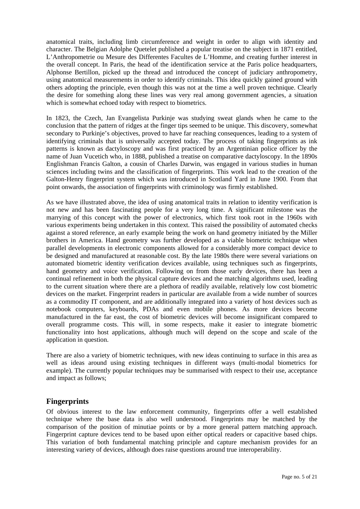anatomical traits, including limb circumference and weight in order to align with identity and character. The Belgian Adolphe Quetelet published a popular treatise on the subject in 1871 entitled, L'Anthropometrie ou Mesure des Differentes Facultes de L'Homme, and creating further interest in the overall concept. In Paris, the head of the identification service at the Paris police headquarters, Alphonse Bertillon, picked up the thread and introduced the concept of judiciary anthropometry, using anatomical measurements in order to identify criminals. This idea quickly gained ground with others adopting the principle, even though this was not at the time a well proven technique. Clearly the desire for something along these lines was very real among government agencies, a situation which is somewhat echoed today with respect to biometrics.

In 1823, the Czech, Jan Evangelista Purkinje was studying sweat glands when he came to the conclusion that the pattern of ridges at the finger tips seemed to be unique. This discovery, somewhat secondary to Purkinje's objectives, proved to have far reaching consequences, leading to a system of identifying criminals that is universally accepted today. The process of taking fingerprints as ink patterns is known as dactyloscopy and was first practiced by an Argentinian police officer by the name of Juan Vucetich who, in 1888, published a treatise on comparative dactyloscopy. In the 1890s Englishman Francis Galton, a cousin of Charles Darwin, was engaged in various studies in human sciences including twins and the classification of fingerprints. This work lead to the creation of the Galton-Henry fingerprint system which was introduced in Scotland Yard in June 1900. From that point onwards, the association of fingerprints with criminology was firmly established.

As we have illustrated above, the idea of using anatomical traits in relation to identity verification is not new and has been fascinating people for a very long time. A significant milestone was the marrying of this concept with the power of electronics, which first took root in the 1960s with various experiments being undertaken in this context. This raised the possibility of automated checks against a stored reference, an early example being the work on hand geometry initiated by the Miller brothers in America. Hand geometry was further developed as a viable biometric technique when parallel developments in electronic components allowed for a considerably more compact device to be designed and manufactured at reasonable cost. By the late 1980s there were several variations on automated biometric identity verification devices available, using techniques such as fingerprints, hand geometry and voice verification. Following on from those early devices, there has been a continual refinement in both the physical capture devices and the matching algorithms used, leading to the current situation where there are a plethora of readily available, relatively low cost biometric devices on the market. Fingerprint readers in particular are available from a wide number of sources as a commodity IT component, and are additionally integrated into a variety of host devices such as notebook computers, keyboards, PDAs and even mobile phones. As more devices become manufactured in the far east, the cost of biometric devices will become insignificant compared to overall programme costs. This will, in some respects, make it easier to integrate biometric functionality into host applications, although much will depend on the scope and scale of the application in question.

There are also a variety of biometric techniques, with new ideas continuing to surface in this area as well as ideas around using existing techniques in different ways (multi-modal biometrics for example). The currently popular techniques may be summarised with respect to their use, acceptance and impact as follows;

#### **Fingerprints**

Of obvious interest to the law enforcement community, fingerprints offer a well established technique where the base data is also well understood. Fingerprints may be matched by the comparison of the position of minutiae points or by a more general pattern matching approach. Fingerprint capture devices tend to be based upon either optical readers or capacitive based chips. This variation of both fundamental matching principle and capture mechanism provides for an interesting variety of devices, although does raise questions around true interoperability.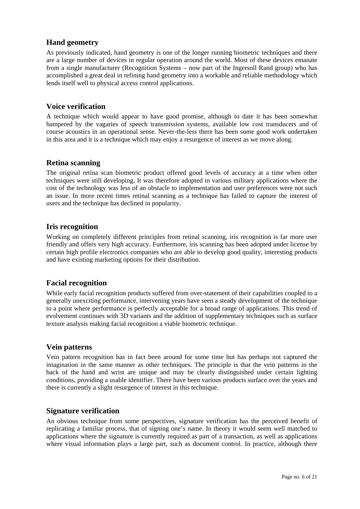#### **Hand geometry**

As previously indicated, hand geometry is one of the longer running biometric techniques and there are a large number of devices in regular operation around the world. Most of these devices emanate from a single manufacturer (Recognition Systems – now part of the Ingersoll Rand group) who has accomplished a great deal in refining hand geometry into a workable and reliable methodology which lends itself well to physical access control applications.

#### **Voice verification**

A technique which would appear to have good promise, although to date it has been somewhat hampered by the vagaries of speech transmission systems, available low cost transducers and of course acoustics in an operational sense. Never-the-less there has been some good work undertaken in this area and it is a technique which may enjoy a resurgence of interest as we move along.

#### **Retina scanning**

The original retina scan biometric product offered good levels of accuracy at a time when other techniques were still developing. It was therefore adopted in various military applications where the cost of the technology was less of an obstacle to implementation and user preferences were not such an issue. In more recent times retinal scanning as a technique has failed to capture the interest of users and the technique has declined in popularity.

#### **Iris recognition**

Working on completely different principles from retinal scanning, iris recognition is far more user friendly and offers very high accuracy. Furthermore, iris scanning has been adopted under license by certain high profile electronics companies who are able to develop good quality, interesting products and have existing marketing options for their distribution.

#### **Facial recognition**

While early facial recognition products suffered from over-statement of their capabilities coupled to a generally unexciting performance, intervening years have seen a steady development of the technique to a point where performance is perfectly acceptable for a broad range of applications. This trend of evolvement continues with 3D variants and the addition of supplementary techniques such as surface texture analysis making facial recognition a viable biometric technique.

#### **Vein patterns**

Vein pattern recognition has in fact been around for some time but has perhaps not captured the imagination in the same manner as other techniques. The principle is that the vein patterns in the back of the hand and wrist are unique and may be clearly distinguished under certain lighting conditions, providing a usable identifier. There have been various products surface over the years and there is currently a slight resurgence of interest in this technique.

#### **Signature verification**

An obvious technique from some perspectives, signature verification has the perceived benefit of replicating a familiar process, that of signing one's name. In theory it would seem well matched to applications where the signature is currently required as part of a transaction, as well as applications where visual information plays a large part, such as document control. In practice, although there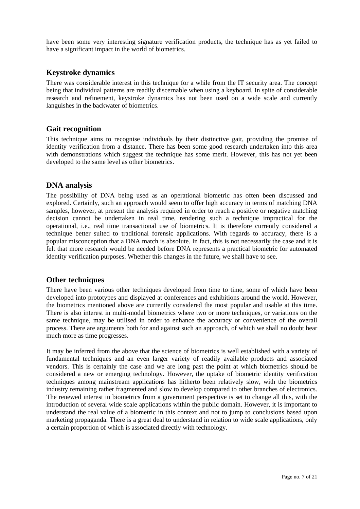have been some very interesting signature verification products, the technique has as yet failed to have a significant impact in the world of biometrics.

#### **Keystroke dynamics**

There was considerable interest in this technique for a while from the IT security area. The concept being that individual patterns are readily discernable when using a keyboard. In spite of considerable research and refinement, keystroke dynamics has not been used on a wide scale and currently languishes in the backwater of biometrics.

#### **Gait recognition**

This technique aims to recognise individuals by their distinctive gait, providing the promise of identity verification from a distance. There has been some good research undertaken into this area with demonstrations which suggest the technique has some merit. However, this has not yet been developed to the same level as other biometrics.

#### **DNA analysis**

The possibility of DNA being used as an operational biometric has often been discussed and explored. Certainly, such an approach would seem to offer high accuracy in terms of matching DNA samples, however, at present the analysis required in order to reach a positive or negative matching decision cannot be undertaken in real time, rendering such a technique impractical for the operational, i.e., real time transactional use of biometrics. It is therefore currently considered a technique better suited to traditional forensic applications. With regards to accuracy, there is a popular misconception that a DNA match is absolute. In fact, this is not necessarily the case and it is felt that more research would be needed before DNA represents a practical biometric for automated identity verification purposes. Whether this changes in the future, we shall have to see.

#### **Other techniques**

There have been various other techniques developed from time to time, some of which have been developed into prototypes and displayed at conferences and exhibitions around the world. However, the biometrics mentioned above are currently considered the most popular and usable at this time. There is also interest in multi-modal biometrics where two or more techniques, or variations on the same technique, may be utilised in order to enhance the accuracy or convenience of the overall process. There are arguments both for and against such an approach, of which we shall no doubt hear much more as time progresses.

It may be inferred from the above that the science of biometrics is well established with a variety of fundamental techniques and an even larger variety of readily available products and associated vendors. This is certainly the case and we are long past the point at which biometrics should be considered a new or emerging technology. However, the uptake of biometric identity verification techniques among mainstream applications has hitherto been relatively slow, with the biometrics industry remaining rather fragmented and slow to develop compared to other branches of electronics. The renewed interest in biometrics from a government perspective is set to change all this, with the introduction of several wide scale applications within the public domain. However, it is important to understand the real value of a biometric in this context and not to jump to conclusions based upon marketing propaganda. There is a great deal to understand in relation to wide scale applications, only a certain proportion of which is associated directly with technology.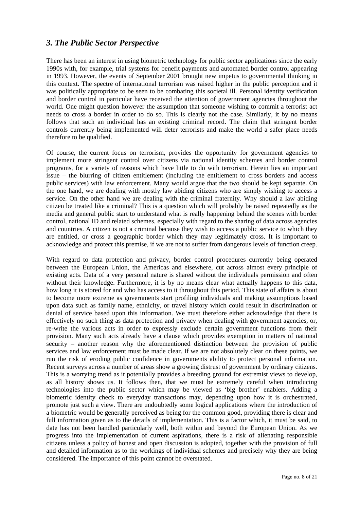## *3. The Public Sector Perspective*

There has been an interest in using biometric technology for public sector applications since the early 1990s with, for example, trial systems for benefit payments and automated border control appearing in 1993. However, the events of September 2001 brought new impetus to governmental thinking in this context. The spectre of international terrorism was raised higher in the public perception and it was politically appropriate to be seen to be combating this societal ill. Personal identity verification and border control in particular have received the attention of government agencies throughout the world. One might question however the assumption that someone wishing to commit a terrorist act needs to cross a border in order to do so. This is clearly not the case. Similarly, it by no means follows that such an individual has an existing criminal record. The claim that stringent border controls currently being implemented will deter terrorists and make the world a safer place needs therefore to be qualified.

Of course, the current focus on terrorism, provides the opportunity for government agencies to implement more stringent control over citizens via national identity schemes and border control programs, for a variety of reasons which have little to do with terrorism. Herein lies an important issue – the blurring of citizen entitlement (including the entitlement to cross borders and access public services) with law enforcement. Many would argue that the two should be kept separate. On the one hand, we are dealing with mostly law abiding citizens who are simply wishing to access a service. On the other hand we are dealing with the criminal fraternity. Why should a law abiding citizen be treated like a criminal? This is a question which will probably be raised repeatedly as the media and general public start to understand what is really happening behind the scenes with border control, national ID and related schemes, especially with regard to the sharing of data across agencies and countries. A citizen is not a criminal because they wish to access a public service to which they are entitled, or cross a geographic border which they may legitimately cross. It is important to acknowledge and protect this premise, if we are not to suffer from dangerous levels of function creep.

With regard to data protection and privacy, border control procedures currently being operated between the European Union, the Americas and elsewhere, cut across almost every principle of existing acts. Data of a very personal nature is shared without the individuals permission and often without their knowledge. Furthermore, it is by no means clear what actually happens to this data, how long it is stored for and who has access to it throughout this period. This state of affairs is about to become more extreme as governments start profiling individuals and making assumptions based upon data such as family name, ethnicity, or travel history which could result in discrimination or denial of service based upon this information. We must therefore either acknowledge that there is effectively no such thing as data protection and privacy when dealing with government agencies, or, re-write the various acts in order to expressly exclude certain government functions from their provision. Many such acts already have a clause which provides exemption in matters of national security – another reason why the aforementioned distinction between the provision of public services and law enforcement must be made clear. If we are not absolutely clear on these points, we run the risk of eroding public confidence in governments ability to protect personal information. Recent surveys across a number of areas show a growing distrust of government by ordinary citizens. This is a worrying trend as it potentially provides a breeding ground for extremist views to develop, as all history shows us. It follows then, that we must be extremely careful when introducing technologies into the public sector which may be viewed as 'big brother' enablers. Adding a biometric identity check to everyday transactions may, depending upon how it is orchestrated, promote just such a view. There are undoubtedly some logical applications where the introduction of a biometric would be generally perceived as being for the common good, providing there is clear and full information given as to the details of implementation. This is a factor which, it must be said, to date has not been handled particularly well, both within and beyond the European Union. As we progress into the implementation of current aspirations, there is a risk of alienating responsible citizens unless a policy of honest and open discussion is adopted, together with the provision of full and detailed information as to the workings of individual schemes and precisely why they are being considered. The importance of this point cannot be overstated.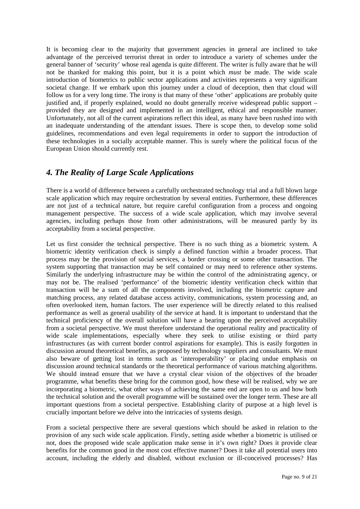It is becoming clear to the majority that government agencies in general are inclined to take advantage of the perceived terrorist threat in order to introduce a variety of schemes under the general banner of 'security' whose real agenda is quite different. The writer is fully aware that he will not be thanked for making this point, but it is a point which *must* be made. The wide scale introduction of biometrics to public sector applications and activities represents a very significant societal change. If we embark upon this journey under a cloud of deception, then that cloud will follow us for a very long time. The irony is that many of these 'other' applications are probably quite justified and, if properly explained, would no doubt generally receive widespread public support – provided they are designed and implemented in an intelligent, ethical and responsible manner. Unfortunately, not all of the current aspirations reflect this ideal, as many have been rushed into with an inadequate understanding of the attendant issues. There is scope then, to develop some solid guidelines, recommendations and even legal requirements in order to support the introduction of these technologies in a socially acceptable manner. This is surely where the political focus of the European Union should currently rest.

## *4. The Reality of Large Scale Applications*

There is a world of difference between a carefully orchestrated technology trial and a full blown large scale application which may require orchestration by several entities. Furthermore, these differences are not just of a technical nature, but require careful configuration from a process and ongoing management perspective. The success of a wide scale application, which may involve several agencies, including perhaps those from other administrations, will be measured partly by its acceptability from a societal perspective.

Let us first consider the technical perspective. There is no such thing as a biometric system. A biometric identity verification check is simply a defined function within a broader process. That process may be the provision of social services, a border crossing or some other transaction. The system supporting that transaction may be self contained or may need to reference other systems. Similarly the underlying infrastructure may be within the control of the administrating agency, or may not be. The realised 'performance' of the biometric identity verification check within that transaction will be a sum of all the components involved, including the biometric capture and matching process, any related database access activity, communications, system processing and, an often overlooked item, human factors. The user experience will be directly related to this realised performance as well as general usability of the service at hand. It is important to understand that the technical proficiency of the overall solution will have a bearing upon the perceived acceptability from a societal perspective. We must therefore understand the operational reality and practicality of wide scale implementations, especially where they seek to utilise existing or third party infrastructures (as with current border control aspirations for example). This is easily forgotten in discussion around theoretical benefits, as proposed by technology suppliers and consultants. We must also beware of getting lost in terms such as 'interoperability' or placing undue emphasis on discussion around technical standards or the theoretical performance of various matching algorithms. We should instead ensure that we have a crystal clear vision of the objectives of the broader programme, what benefits these bring for the common good, how these will be realised, why we are incorporating a biometric, what other ways of achieving the same end are open to us and how both the technical solution and the overall programme will be sustained over the longer term. These are all important questions from a societal perspective. Establishing clarity of purpose at a high level is crucially important before we delve into the intricacies of systems design.

From a societal perspective there are several questions which should be asked in relation to the provision of any such wide scale application. Firstly, setting aside whether a biometric is utilised or not, does the proposed wide scale application make sense in it's own right? Does it provide clear benefits for the common good in the most cost effective manner? Does it take all potential users into account, including the elderly and disabled, without exclusion or ill-conceived processes? Has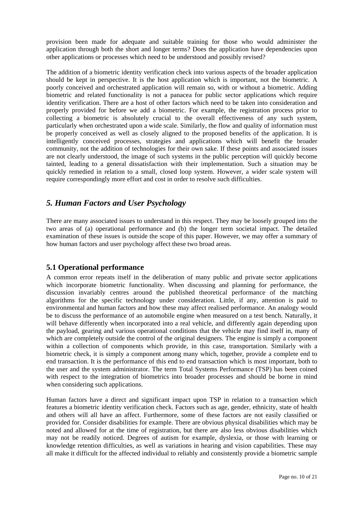provision been made for adequate and suitable training for those who would administer the application through both the short and longer terms? Does the application have dependencies upon other applications or processes which need to be understood and possibly revised?

The addition of a biometric identity verification check into various aspects of the broader application should be kept in perspective. It is the host application which is important, not the biometric. A poorly conceived and orchestrated application will remain so, with or without a biometric. Adding biometric and related functionality is not a panacea for public sector applications which require identity verification. There are a host of other factors which need to be taken into consideration and properly provided for before we add a biometric. For example, the registration process prior to collecting a biometric is absolutely crucial to the overall effectiveness of any such system, particularly when orchestrated upon a wide scale. Similarly, the flow and quality of information must be properly conceived as well as closely aligned to the proposed benefits of the application. It is intelligently conceived processes, strategies and applications which will benefit the broader community, not the addition of technologies for their own sake. If these points and associated issues are not clearly understood, the image of such systems in the public perception will quickly become tainted, leading to a general dissatisfaction with their implementation. Such a situation may be quickly remedied in relation to a small, closed loop system. However, a wider scale system will require correspondingly more effort and cost in order to resolve such difficulties.

## *5. Human Factors and User Psychology*

There are many associated issues to understand in this respect. They may be loosely grouped into the two areas of (a) operational performance and (b) the longer term societal impact. The detailed examination of these issues is outside the scope of this paper. However, we may offer a summary of how human factors and user psychology affect these two broad areas.

#### **5.1 Operational performance**

A common error repeats itself in the deliberation of many public and private sector applications which incorporate biometric functionality. When discussing and planning for performance, the discussion invariably centres around the published theoretical performance of the matching algorithms for the specific technology under consideration. Little, if any, attention is paid to environmental and human factors and how these may affect realised performance. An analogy would be to discuss the performance of an automobile engine when measured on a test bench. Naturally, it will behave differently when incorporated into a real vehicle, and differently again depending upon the payload, gearing and various operational conditions that the vehicle may find itself in, many of which are completely outside the control of the original designers. The engine is simply a component within a collection of components which provide, in this case, transportation. Similarly with a biometric check, it is simply a component among many which, together, provide a complete end to end transaction. It is the performance of this end to end transaction which is most important, both to the user and the system administrator. The term Total Systems Performance (TSP) has been coined with respect to the integration of biometrics into broader processes and should be borne in mind when considering such applications.

Human factors have a direct and significant impact upon TSP in relation to a transaction which features a biometric identity verification check. Factors such as age, gender, ethnicity, state of health and others will all have an affect. Furthermore, some of these factors are not easily classified or provided for. Consider disabilities for example. There are obvious physical disabilities which may be noted and allowed for at the time of registration, but there are also less obvious disabilities which may not be readily noticed. Degrees of autism for example, dyslexia, or those with learning or knowledge retention difficulties, as well as variations in hearing and vision capabilities. These may all make it difficult for the affected individual to reliably and consistently provide a biometric sample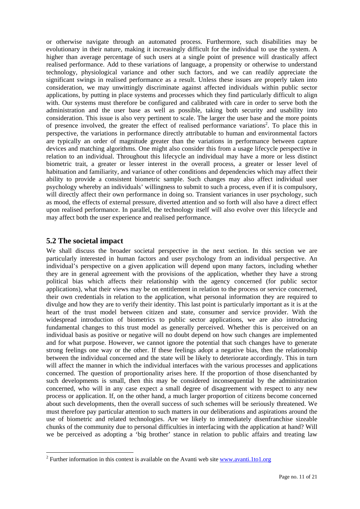or otherwise navigate through an automated process. Furthermore, such disabilities may be evolutionary in their nature, making it increasingly difficult for the individual to use the system. A higher than average percentage of such users at a single point of presence will drastically affect realised performance. Add to these variations of language, a propensity or otherwise to understand technology, physiological variance and other such factors, and we can readily appreciate the significant swings in realised performance as a result. Unless these issues are properly taken into consideration, we may unwittingly discriminate against affected individuals within public sector applications, by putting in place systems and processes which they find particularly difficult to align with. Our systems must therefore be configured and calibrated with care in order to serve both the administration and the user base as well as possible, taking both security and usability into consideration. This issue is also very pertinent to scale. The larger the user base and the more points of presence involved, the greater the effect of realised performance variations<sup>2</sup>. To place this in perspective, the variations in performance directly attributable to human and environmental factors are typically an order of magnitude greater than the variations in performance between capture devices and matching algorithms. One might also consider this from a usage lifecycle perspective in relation to an individual. Throughout this lifecycle an individual may have a more or less distinct biometric trait, a greater or lesser interest in the overall process, a greater or lesser level of habituation and familiarity, and variance of other conditions and dependencies which may affect their ability to provide a consistent biometric sample. Such changes may also affect individual user psychology whereby an individuals' willingness to submit to such a process, even if it is compulsory, will directly affect their own performance in doing so. Transient variances in user psychology, such as mood, the effects of external pressure, diverted attention and so forth will also have a direct effect upon realised performance. In parallel, the technology itself will also evolve over this lifecycle and may affect both the user experience and realised performance.

#### **5.2 The societal impact**

l

We shall discuss the broader societal perspective in the next section. In this section we are particularly interested in human factors and user psychology from an individual perspective. An individual's perspective on a given application will depend upon many factors, including whether they are in general agreement with the provisions of the application, whether they have a strong political bias which affects their relationship with the agency concerned (for public sector applications), what their views may be on entitlement in relation to the process or service concerned, their own credentials in relation to the application, what personal information they are required to divulge and how they are to verify their identity. This last point is particularly important as it is at the heart of the trust model between citizen and state, consumer and service provider. With the widespread introduction of biometrics to public sector applications, we are also introducing fundamental changes to this trust model as generally perceived. Whether this is perceived on an individual basis as positive or negative will no doubt depend on how such changes are implemented and for what purpose. However, we cannot ignore the potential that such changes have to generate strong feelings one way or the other. If these feelings adopt a negative bias, then the relationship between the individual concerned and the state will be likely to deteriorate accordingly. This in turn will affect the manner in which the individual interfaces with the various processes and applications concerned. The question of proportionality arises here. If the proportion of those disenchanted by such developments is small, then this may be considered inconsequential by the administration concerned, who will in any case expect a small degree of disagreement with respect to any new process or application. If, on the other hand, a much larger proportion of citizens become concerned about such developments, then the overall success of such schemes will be seriously threatened. We must therefore pay particular attention to such matters in our deliberations and aspirations around the use of biometric and related technologies. Are we likely to immediately disenfranchise sizeable chunks of the community due to personal difficulties in interfacing with the application at hand? Will we be perceived as adopting a 'big brother' stance in relation to public affairs and treating law

<sup>&</sup>lt;sup>2</sup> Further information in this context is available on the Avanti web site **www.avanti.1to1.org**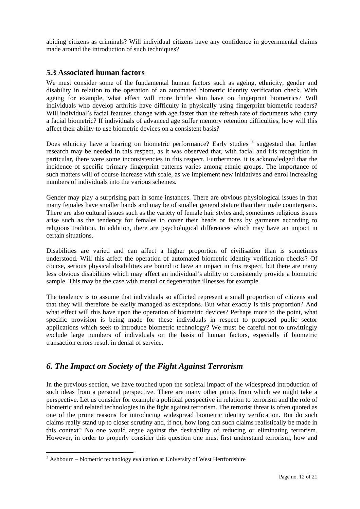abiding citizens as criminals? Will individual citizens have any confidence in governmental claims made around the introduction of such techniques?

#### **5.3 Associated human factors**

We must consider some of the fundamental human factors such as ageing, ethnicity, gender and disability in relation to the operation of an automated biometric identity verification check. With ageing for example, what effect will more brittle skin have on fingerprint biometrics? Will individuals who develop arthritis have difficulty in physically using fingerprint biometric readers? Will individual's facial features change with age faster than the refresh rate of documents who carry a facial biometric? If individuals of advanced age suffer memory retention difficulties, how will this affect their ability to use biometric devices on a consistent basis?

Does ethnicity have a bearing on biometric performance? Early studies <sup>3</sup> suggested that further research may be needed in this respect, as it was observed that, with facial and iris recognition in particular, there were some inconsistencies in this respect. Furthermore, it is acknowledged that the incidence of specific primary fingerprint patterns varies among ethnic groups. The importance of such matters will of course increase with scale, as we implement new initiatives and enrol increasing numbers of individuals into the various schemes.

Gender may play a surprising part in some instances. There are obvious physiological issues in that many females have smaller hands and may be of smaller general stature than their male counterparts. There are also cultural issues such as the variety of female hair styles and, sometimes religious issues arise such as the tendency for females to cover their heads or faces by garments according to religious tradition. In addition, there are psychological differences which may have an impact in certain situations.

Disabilities are varied and can affect a higher proportion of civilisation than is sometimes understood. Will this affect the operation of automated biometric identity verification checks? Of course, serious physical disabilities are bound to have an impact in this respect, but there are many less obvious disabilities which may affect an individual's ability to consistently provide a biometric sample. This may be the case with mental or degenerative illnesses for example.

The tendency is to assume that individuals so afflicted represent a small proportion of citizens and that they will therefore be easily managed as exceptions. But what exactly is this proportion? And what effect will this have upon the operation of biometric devices? Perhaps more to the point, what specific provision is being made for these individuals in respect to proposed public sector applications which seek to introduce biometric technology? We must be careful not to unwittingly exclude large numbers of individuals on the basis of human factors, especially if biometric transaction errors result in denial of service.

## *6. The Impact on Society of the Fight Against Terrorism*

In the previous section, we have touched upon the societal impact of the widespread introduction of such ideas from a personal perspective. There are many other points from which we might take a perspective. Let us consider for example a political perspective in relation to terrorism and the role of biometric and related technologies in the fight against terrorism. The terrorist threat is often quoted as one of the prime reasons for introducing widespread biometric identity verification. But do such claims really stand up to closer scrutiny and, if not, how long can such claims realistically be made in this context? No one would argue against the desirability of reducing or eliminating terrorism. However, in order to properly consider this question one must first understand terrorism, how and

l

 $3$  Ashbourn – biometric technology evaluation at University of West Hertfordshire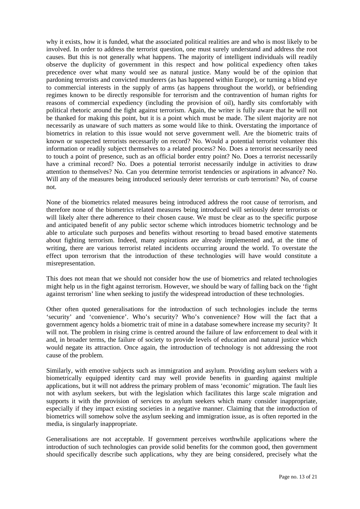why it exists, how it is funded, what the associated political realities are and who is most likely to be involved. In order to address the terrorist question, one must surely understand and address the root causes. But this is not generally what happens. The majority of intelligent individuals will readily observe the duplicity of government in this respect and how political expediency often takes precedence over what many would see as natural justice. Many would be of the opinion that pardoning terrorists and convicted murderers (as has happened within Europe), or turning a blind eye to commercial interests in the supply of arms (as happens throughout the world), or befriending regimes known to be directly responsible for terrorism and the contravention of human rights for reasons of commercial expediency (including the provision of oil), hardly sits comfortably with political rhetoric around the fight against terrorism. Again, the writer is fully aware that he will not be thanked for making this point, but it is a point which must be made. The silent majority are not necessarily as unaware of such matters as some would like to think. Overstating the importance of biometrics in relation to this issue would not serve government well. Are the biometric traits of known or suspected terrorists necessarily on record? No. Would a potential terrorist volunteer this information or readily subject themselves to a related process? No. Does a terrorist necessarily need to touch a point of presence, such as an official border entry point? No. Does a terrorist necessarily have a criminal record? No. Does a potential terrorist necessarily indulge in activities to draw attention to themselves? No. Can you determine terrorist tendencies or aspirations in advance? No. Will any of the measures being introduced seriously deter terrorists or curb terrorism? No, of course not.

None of the biometrics related measures being introduced address the root cause of terrorism, and therefore none of the biometrics related measures being introduced will seriously deter terrorists or will likely alter there adherence to their chosen cause. We must be clear as to the specific purpose and anticipated benefit of any public sector scheme which introduces biometric technology and be able to articulate such purposes and benefits without resorting to broad based emotive statements about fighting terrorism. Indeed, many aspirations are already implemented and, at the time of writing, there are various terrorist related incidents occurring around the world. To overstate the effect upon terrorism that the introduction of these technologies will have would constitute a misrepresentation.

This does not mean that we should not consider how the use of biometrics and related technologies might help us in the fight against terrorism. However, we should be wary of falling back on the 'fight against terrorism' line when seeking to justify the widespread introduction of these technologies.

Other often quoted generalisations for the introduction of such technologies include the terms 'security' and 'convenience'. Who's security? Who's convenience? How will the fact that a government agency holds a biometric trait of mine in a database somewhere increase my security? It will not. The problem in rising crime is centred around the failure of law enforcement to deal with it and, in broader terms, the failure of society to provide levels of education and natural justice which would negate its attraction. Once again, the introduction of technology is not addressing the root cause of the problem.

Similarly, with emotive subjects such as immigration and asylum. Providing asylum seekers with a biometrically equipped identity card may well provide benefits in guarding against multiple applications, but it will not address the primary problem of mass 'economic' migration. The fault lies not with asylum seekers, but with the legislation which facilitates this large scale migration and supports it with the provision of services to asylum seekers which many consider inappropriate, especially if they impact existing societies in a negative manner. Claiming that the introduction of biometrics will somehow solve the asylum seeking and immigration issue, as is often reported in the media, is singularly inappropriate.

Generalisations are not acceptable. If government perceives worthwhile applications where the introduction of such technologies can provide solid benefits for the common good, then government should specifically describe such applications, why they are being considered, precisely what the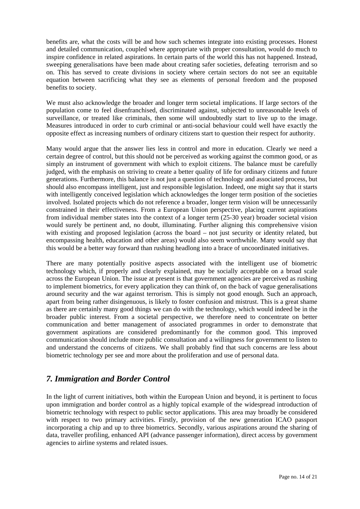benefits are, what the costs will be and how such schemes integrate into existing processes. Honest and detailed communication, coupled where appropriate with proper consultation, would do much to inspire confidence in related aspirations. In certain parts of the world this has not happened. Instead, sweeping generalisations have been made about creating safer societies, defeating terrorism and so on. This has served to create divisions in society where certain sectors do not see an equitable equation between sacrificing what they see as elements of personal freedom and the proposed benefits to society.

We must also acknowledge the broader and longer term societal implications. If large sectors of the population come to feel disenfranchised, discriminated against, subjected to unreasonable levels of surveillance, or treated like criminals, then some will undoubtedly start to live up to the image. Measures introduced in order to curb criminal or anti-social behaviour could well have exactly the opposite effect as increasing numbers of ordinary citizens start to question their respect for authority.

Many would argue that the answer lies less in control and more in education. Clearly we need a certain degree of control, but this should not be perceived as working against the common good, or as simply an instrument of government with which to exploit citizens. The balance must be carefully judged, with the emphasis on striving to create a better quality of life for ordinary citizens and future generations. Furthermore, this balance is not just a question of technology and associated process, but should also encompass intelligent, just and responsible legislation. Indeed, one might say that it starts with intelligently conceived legislation which acknowledges the longer term position of the societies involved. Isolated projects which do not reference a broader, longer term vision will be unnecessarily constrained in their effectiveness. From a European Union perspective, placing current aspirations from individual member states into the context of a longer term (25-30 year) broader societal vision would surely be pertinent and, no doubt, illuminating. Further aligning this comprehensive vision with existing and proposed legislation (across the board – not just security or identity related, but encompassing health, education and other areas) would also seem worthwhile. Many would say that this would be a better way forward than rushing headlong into a brace of uncoordinated initiatives.

There are many potentially positive aspects associated with the intelligent use of biometric technology which, if properly and clearly explained, may be socially acceptable on a broad scale across the European Union. The issue at present is that government agencies are perceived as rushing to implement biometrics, for every application they can think of, on the back of vague generalisations around security and the war against terrorism. This is simply not good enough. Such an approach, apart from being rather disingenuous, is likely to foster confusion and mistrust. This is a great shame as there are certainly many good things we can do with the technology, which would indeed be in the broader public interest. From a societal perspective, we therefore need to concentrate on better communication and better management of associated programmes in order to demonstrate that government aspirations are considered predominantly for the common good. This improved communication should include more public consultation and a willingness for government to listen to and understand the concerns of citizens. We shall probably find that such concerns are less about biometric technology per see and more about the proliferation and use of personal data.

## *7. Immigration and Border Control*

In the light of current initiatives, both within the European Union and beyond, it is pertinent to focus upon immigration and border control as a highly topical example of the widespread introduction of biometric technology with respect to public sector applications. This area may broadly be considered with respect to two primary activities. Firstly, provision of the new generation ICAO passport incorporating a chip and up to three biometrics. Secondly, various aspirations around the sharing of data, traveller profiling, enhanced API (advance passenger information), direct access by government agencies to airline systems and related issues.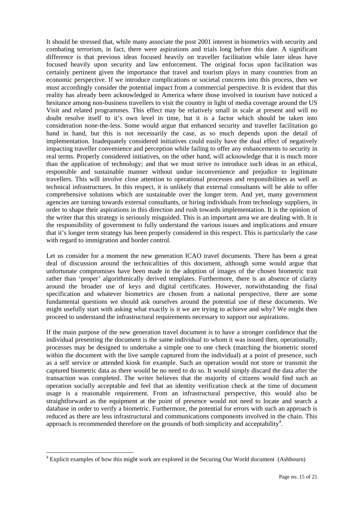It should be stressed that, while many associate the post 2001 interest in biometrics with security and combating terrorism, in fact, there were aspirations and trials long before this date. A significant difference is that previous ideas focused heavily on traveller facilitation while later ideas have focused heavily upon security and law enforcement. The original focus upon facilitation was certainly pertinent given the importance that travel and tourism plays in many countries from an economic perspective. If we introduce complications or societal concerns into this process, then we must accordingly consider the potential impact from a commercial perspective. It is evident that this reality has already been acknowledged in America where those involved in tourism have noticed a hesitance among non-business travellers to visit the country in light of media coverage around the US Visit and related programmes. This effect may be relatively small in scale at present and will no doubt resolve itself to it's own level in time, but it is a factor which should be taken into consideration none-the-less. Some would argue that enhanced security and traveller facilitation go hand in hand, but this is not necessarily the case, as so much depends upon the detail of implementation. Inadequately considered initiatives could easily have the dual effect of negatively impacting traveller convenience and perception while failing to offer any enhancements to security in real terms. Properly considered initiatives, on the other hand, will acknowledge that it is much more than the application of technology; and that we must strive to introduce such ideas in an ethical, responsible and sustainable manner without undue inconvenience and prejudice to legitimate travellers. This will involve close attention to operational processes and responsibilities as well as technical infrastructures. In this respect, it is unlikely that external consultants will be able to offer comprehensive solutions which are sustainable over the longer term. And yet, many government agencies are turning towards external consultants, or hiring individuals from technology suppliers, in order to shape their aspirations in this direction and rush towards implementation. It is the opinion of the writer that this strategy is seriously misguided. This is an important area we are dealing with. It is the responsibility of government to fully understand the various issues and implications and ensure that it's longer term strategy has been properly considered in this respect. This is particularly the case with regard to immigration and border control.

Let us consider for a moment the new generation ICAO travel documents. There has been a great deal of discussion around the technicalities of this document, although some would argue that unfortunate compromises have been made in the adoption of images of the chosen biometric trait rather than 'proper' algorithmically derived templates. Furthermore, there is an absence of clarity around the broader use of keys and digital certificates. However, notwithstanding the final specification and whatever biometrics are chosen from a national perspective, there are some fundamental questions we should ask ourselves around the potential use of these documents. We might usefully start with asking what exactly is it we are trying to achieve and why? We might then proceed to understand the infrastructural requirements necessary to support our aspirations.

If the main purpose of the new generation travel document is to have a stronger confidence that the individual presenting the document is the same individual to whom it was issued then, operationally, processes may be designed to undertake a simple one to one check (matching the biometric stored within the document with the live sample captured from the individual) at a point of presence, such as a self service or attended kiosk for example. Such an operation would not store or transmit the captured biometric data as there would be no need to do so. It would simply discard the data after the transaction was completed. The writer believes that the majority of citizens would find such an operation socially acceptable and feel that an identity verification check at the time of document usage is a reasonable requirement. From an infrastructural perspective, this would also be straightforward as the equipment at the point of presence would not need to locate and search a database in order to verify a biometric. Furthermore, the potential for errors with such an approach is reduced as there are less infrastructural and communications components involved in the chain. This approach is recommended therefore on the grounds of both simplicity and acceptability<sup>4</sup>.

l

<sup>&</sup>lt;sup>4</sup> Explicit examples of how this might work are explored in the Securing Our World document (Ashbourn)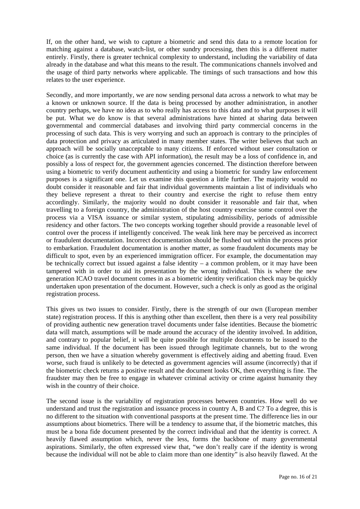If, on the other hand, we wish to capture a biometric and send this data to a remote location for matching against a database, watch-list, or other sundry processing, then this is a different matter entirely. Firstly, there is greater technical complexity to understand, including the variability of data already in the database and what this means to the result. The communications channels involved and the usage of third party networks where applicable. The timings of such transactions and how this relates to the user experience.

Secondly, and more importantly, we are now sending personal data across a network to what may be a known or unknown source. If the data is being processed by another administration, in another country perhaps, we have no idea as to who really has access to this data and to what purposes it will be put. What we do know is that several administrations have hinted at sharing data between governmental and commercial databases and involving third party commercial concerns in the processing of such data. This is very worrying and such an approach is contrary to the principles of data protection and privacy as articulated in many member states. The writer believes that such an approach will be socially unacceptable to many citizens. If enforced without user consultation or choice (as is currently the case with API information), the result may be a loss of confidence in, and possibly a loss of respect for, the government agencies concerned. The distinction therefore between using a biometric to verify document authenticity and using a biometric for sundry law enforcement purposes is a significant one. Let us examine this question a little further. The majority would no doubt consider it reasonable and fair that individual governments maintain a list of individuals who they believe represent a threat to their country and exercise the right to refuse them entry accordingly. Similarly, the majority would no doubt consider it reasonable and fair that, when travelling to a foreign country, the administration of the host country exercise some control over the process via a VISA issuance or similar system, stipulating admissibility, periods of admissible residency and other factors. The two concepts working together should provide a reasonable level of control over the process if intelligently conceived. The weak link here may be perceived as incorrect or fraudulent documentation. Incorrect documentation should be flushed out within the process prior to embarkation. Fraudulent documentation is another matter, as some fraudulent documents may be difficult to spot, even by an experienced immigration officer. For example, the documentation may be technically correct but issued against a false identity – a common problem, or it may have been tampered with in order to aid its presentation by the wrong individual. This is where the new generation ICAO travel document comes in as a biometric identity verification check may be quickly undertaken upon presentation of the document. However, such a check is only as good as the original registration process.

This gives us two issues to consider. Firstly, there is the strength of our own (European member state) registration process. If this is anything other than excellent, then there is a very real possibility of providing authentic new generation travel documents under false identities. Because the biometric data will match, assumptions will be made around the accuracy of the identity involved. In addition, and contrary to popular belief, it will be quite possible for multiple documents to be issued to the same individual. If the document has been issued through legitimate channels, but to the wrong person, then we have a situation whereby government is effectively aiding and abetting fraud. Even worse, such fraud is unlikely to be detected as government agencies will assume (incorrectly) that if the biometric check returns a positive result and the document looks OK, then everything is fine. The fraudster may then be free to engage in whatever criminal activity or crime against humanity they wish in the country of their choice.

The second issue is the variability of registration processes between countries. How well do we understand and trust the registration and issuance process in country A, B and C? To a degree, this is no different to the situation with conventional passports at the present time. The difference lies in our assumptions about biometrics. There will be a tendency to assume that, if the biometric matches, this must be a bona fide document presented by the correct individual and that the identity is correct. A heavily flawed assumption which, never the less, forms the backbone of many governmental aspirations. Similarly, the often expressed view that, "we don't really care if the identity is wrong because the individual will not be able to claim more than one identity" is also heavily flawed. At the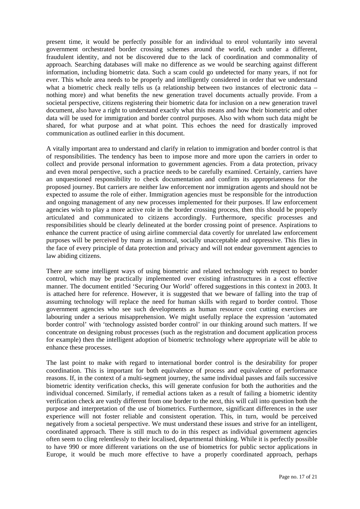present time, it would be perfectly possible for an individual to enrol voluntarily into several government orchestrated border crossing schemes around the world, each under a different, fraudulent identity, and not be discovered due to the lack of coordination and commonality of approach. Searching databases will make no difference as we would be searching against different information, including biometric data. Such a scam could go undetected for many years, if not for ever. This whole area needs to be properly and intelligently considered in order that we understand what a biometric check really tells us (a relationship between two instances of electronic data – nothing more) and what benefits the new generation travel documents actually provide. From a societal perspective, citizens registering their biometric data for inclusion on a new generation travel document, also have a right to understand exactly what this means and how their biometric and other data will be used for immigration and border control purposes. Also with whom such data might be shared, for what purpose and at what point. This echoes the need for drastically improved communication as outlined earlier in this document.

A vitally important area to understand and clarify in relation to immigration and border control is that of responsibilities. The tendency has been to impose more and more upon the carriers in order to collect and provide personal information to government agencies. From a data protection, privacy and even moral perspective, such a practice needs to be carefully examined. Certainly, carriers have an unquestioned responsibility to check documentation and confirm its appropriateness for the proposed journey. But carriers are neither law enforcement nor immigration agents and should not be expected to assume the role of either. Immigration agencies must be responsible for the introduction and ongoing management of any new processes implemented for their purposes. If law enforcement agencies wish to play a more active role in the border crossing process, then this should be properly articulated and communicated to citizens accordingly. Furthermore, specific processes and responsibilities should be clearly delineated at the border crossing point of presence. Aspirations to enhance the current practice of using airline commercial data covertly for unrelated law enforcement purposes will be perceived by many as immoral, socially unacceptable and oppressive. This flies in the face of every principle of data protection and privacy and will not endear government agencies to law abiding citizens.

There are some intelligent ways of using biometric and related technology with respect to border control, which may be practically implemented over existing infrastructures in a cost effective manner. The document entitled 'Securing Our World' offered suggestions in this context in 2003. It is attached here for reference. However, it is suggested that we beware of falling into the trap of assuming technology will replace the need for human skills with regard to border control. Those government agencies who see such developments as human resource cost cutting exercises are labouring under a serious misapprehension. We might usefully replace the expression 'automated border control' with 'technology assisted border control' in our thinking around such matters. If we concentrate on designing robust processes (such as the registration and document application process for example) then the intelligent adoption of biometric technology where appropriate will be able to enhance these processes.

The last point to make with regard to international border control is the desirability for proper coordination. This is important for both equivalence of process and equivalence of performance reasons. If, in the context of a multi-segment journey, the same individual passes and fails successive biometric identity verification checks, this will generate confusion for both the authorities and the individual concerned. Similarly, if remedial actions taken as a result of failing a biometric identity verification check are vastly different from one border to the next, this will call into question both the purpose and interpretation of the use of biometrics. Furthermore, significant differences in the user experience will not foster reliable and consistent operation. This, in turn, would be perceived negatively from a societal perspective. We must understand these issues and strive for an intelligent, coordinated approach. There is still much to do in this respect as individual government agencies often seem to cling relentlessly to their localised, departmental thinking. While it is perfectly possible to have 990 or more different variations on the use of biometrics for public sector applications in Europe, it would be much more effective to have a properly coordinated approach, perhaps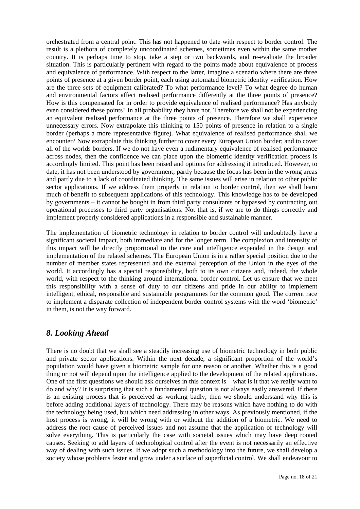orchestrated from a central point. This has not happened to date with respect to border control. The result is a plethora of completely uncoordinated schemes, sometimes even within the same mother country. It is perhaps time to stop, take a step or two backwards, and re-evaluate the broader situation. This is particularly pertinent with regard to the points made about equivalence of process and equivalence of performance. With respect to the latter, imagine a scenario where there are three points of presence at a given border point, each using automated biometric identity verification. How are the three sets of equipment calibrated? To what performance level? To what degree do human and environmental factors affect realised performance differently at the three points of presence? How is this compensated for in order to provide equivalence of realised performance? Has anybody even considered these points? In all probability they have not. Therefore we shall not be experiencing an equivalent realised performance at the three points of presence. Therefore we shall experience unnecessary errors. Now extrapolate this thinking to 150 points of presence in relation to a single border (perhaps a more representative figure). What equivalence of realised performance shall we encounter? Now extrapolate this thinking further to cover every European Union border; and to cover all of the worlds borders. If we do not have even a rudimentary equivalence of realised performance across nodes, then the confidence we can place upon the biometric identity verification process is accordingly limited. This point has been raised and options for addressing it introduced. However, to date, it has not been understood by government; partly because the focus has been in the wrong areas and partly due to a lack of coordinated thinking. The same issues will arise in relation to other public sector applications. If we address them properly in relation to border control, then we shall learn much of benefit to subsequent applications of this technology. This knowledge has to be developed by governments – it cannot be bought in from third party consultants or bypassed by contracting out operational processes to third party organisations. Not that is, if we are to do things correctly and implement properly considered applications in a responsible and sustainable manner.

The implementation of biometric technology in relation to border control will undoubtedly have a significant societal impact, both immediate and for the longer term. The complexion and intensity of this impact will be directly proportional to the care and intelligence expended in the design and implementation of the related schemes. The European Union is in a rather special position due to the number of member states represented and the external perception of the Union in the eyes of the world. It accordingly has a special responsibility, both to its own citizens and, indeed, the whole world, with respect to the thinking around international border control. Let us ensure that we meet this responsibility with a sense of duty to our citizens and pride in our ability to implement intelligent, ethical, responsible and sustainable programmes for the common good. The current race to implement a disparate collection of independent border control systems with the word 'biometric' in them, is not the way forward.

## *8. Looking Ahead*

There is no doubt that we shall see a steadily increasing use of biometric technology in both public and private sector applications. Within the next decade, a significant proportion of the world's population would have given a biometric sample for one reason or another. Whether this is a good thing or not will depend upon the intelligence applied to the development of the related applications. One of the first questions we should ask ourselves in this context is – what is it that we really want to do and why? It is surprising that such a fundamental question is not always easily answered. If there is an existing process that is perceived as working badly, then we should understand why this is before adding additional layers of technology. There may be reasons which have nothing to do with the technology being used, but which need addressing in other ways. As previously mentioned, if the host process is wrong, it will be wrong with or without the addition of a biometric. We need to address the root cause of perceived issues and not assume that the application of technology will solve everything. This is particularly the case with societal issues which may have deep rooted causes. Seeking to add layers of technological control after the event is not necessarily an effective way of dealing with such issues. If we adopt such a methodology into the future, we shall develop a society whose problems fester and grow under a surface of superficial control. We shall endeavour to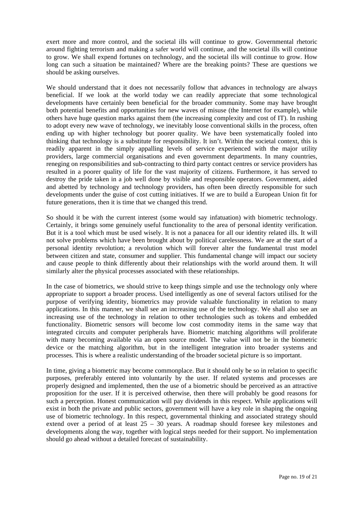exert more and more control, and the societal ills will continue to grow. Governmental rhetoric around fighting terrorism and making a safer world will continue, and the societal ills will continue to grow. We shall expend fortunes on technology, and the societal ills will continue to grow. How long can such a situation be maintained? Where are the breaking points? These are questions we should be asking ourselves.

We should understand that it does not necessarily follow that advances in technology are always beneficial. If we look at the world today we can readily appreciate that some technological developments have certainly been beneficial for the broader community. Some may have brought both potential benefits and opportunities for new waves of misuse (the Internet for example), while others have huge question marks against them (the increasing complexity and cost of IT). In rushing to adopt every new wave of technology, we inevitably loose conventional skills in the process, often ending up with higher technology but poorer quality. We have been systematically fooled into thinking that technology is a substitute for responsibility. It isn't. Within the societal context, this is readily apparent in the simply appalling levels of service experienced with the major utility providers, large commercial organisations and even government departments. In many countries, reneging on responsibilities and sub-contracting to third party contact centres or service providers has resulted in a poorer quality of life for the vast majority of citizens. Furthermore, it has served to destroy the pride taken in a job well done by visible and responsible operators. Government, aided and abetted by technology and technology providers, has often been directly responsible for such developments under the guise of cost cutting initiatives. If we are to build a European Union fit for future generations, then it is time that we changed this trend.

So should it be with the current interest (some would say infatuation) with biometric technology. Certainly, it brings some genuinely useful functionality to the area of personal identity verification. But it is a tool which must be used wisely. It is not a panacea for all our identity related ills. It will not solve problems which have been brought about by political carelessness. We are at the start of a personal identity revolution; a revolution which will forever alter the fundamental trust model between citizen and state, consumer and supplier. This fundamental change will impact our society and cause people to think differently about their relationships with the world around them. It will similarly alter the physical processes associated with these relationships.

In the case of biometrics, we should strive to keep things simple and use the technology only where appropriate to support a broader process. Used intelligently as one of several factors utilised for the purpose of verifying identity, biometrics may provide valuable functionality in relation to many applications. In this manner, we shall see an increasing use of the technology. We shall also see an increasing use of the technology in relation to other technologies such as tokens and embedded functionality. Biometric sensors will become low cost commodity items in the same way that integrated circuits and computer peripherals have. Biometric matching algorithms will proliferate with many becoming available via an open source model. The value will not be in the biometric device or the matching algorithm, but in the intelligent integration into broader systems and processes. This is where a realistic understanding of the broader societal picture is so important.

In time, giving a biometric may become commonplace. But it should only be so in relation to specific purposes, preferably entered into voluntarily by the user. If related systems and processes are properly designed and implemented, then the use of a biometric should be perceived as an attractive proposition for the user. If it is perceived otherwise, then there will probably be good reasons for such a perception. Honest communication will pay dividends in this respect. While applications will exist in both the private and public sectors, government will have a key role in shaping the ongoing use of biometric technology. In this respect, governmental thinking and associated strategy should extend over a period of at least  $25 - 30$  years. A roadmap should foresee key milestones and developments along the way, together with logical steps needed for their support. No implementation should go ahead without a detailed forecast of sustainability.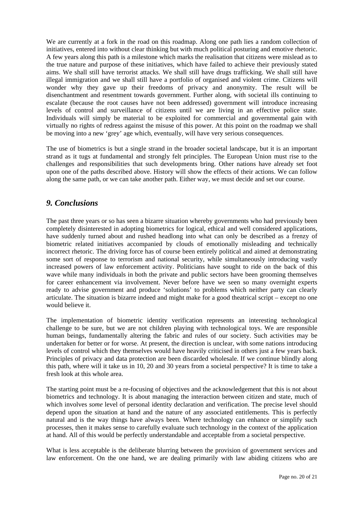We are currently at a fork in the road on this roadmap. Along one path lies a random collection of initiatives, entered into without clear thinking but with much political posturing and emotive rhetoric. A few years along this path is a milestone which marks the realisation that citizens were mislead as to the true nature and purpose of these initiatives, which have failed to achieve their previously stated aims. We shall still have terrorist attacks. We shall still have drugs trafficking. We shall still have illegal immigration and we shall still have a portfolio of organised and violent crime. Citizens will wonder why they gave up their freedoms of privacy and anonymity. The result will be disenchantment and resentment towards government. Further along, with societal ills continuing to escalate (because the root causes have not been addressed) government will introduce increasing levels of control and surveillance of citizens until we are living in an effective police state. Individuals will simply be material to be exploited for commercial and governmental gain with virtually no rights of redress against the misuse of this power. At this point on the roadmap we shall be moving into a new 'grey' age which, eventually, will have very serious consequences.

The use of biometrics is but a single strand in the broader societal landscape, but it is an important strand as it tugs at fundamental and strongly felt principles. The European Union must rise to the challenges and responsibilities that such developments bring. Other nations have already set foot upon one of the paths described above. History will show the effects of their actions. We can follow along the same path, or we can take another path. Either way, we must decide and set our course.

## *9. Conclusions*

The past three years or so has seen a bizarre situation whereby governments who had previously been completely disinterested in adopting biometrics for logical, ethical and well considered applications, have suddenly turned about and rushed headlong into what can only be described as a frenzy of biometric related initiatives accompanied by clouds of emotionally misleading and technically incorrect rhetoric. The driving force has of course been entirely political and aimed at demonstrating some sort of response to terrorism and national security, while simultaneously introducing vastly increased powers of law enforcement activity. Politicians have sought to ride on the back of this wave while many individuals in both the private and public sectors have been grooming themselves for career enhancement via involvement. Never before have we seen so many overnight experts ready to advise government and produce 'solutions' to problems which neither party can clearly articulate. The situation is bizarre indeed and might make for a good theatrical script – except no one would believe it.

The implementation of biometric identity verification represents an interesting technological challenge to be sure, but we are not children playing with technological toys. We are responsible human beings, fundamentally altering the fabric and rules of our society. Such activities may be undertaken for better or for worse. At present, the direction is unclear, with some nations introducing levels of control which they themselves would have heavily criticised in others just a few years back. Principles of privacy and data protection are been discarded wholesale. If we continue blindly along this path, where will it take us in 10, 20 and 30 years from a societal perspective? It is time to take a fresh look at this whole area.

The starting point must be a re-focusing of objectives and the acknowledgement that this is not about biometrics and technology. It is about managing the interaction between citizen and state, much of which involves *some* level of personal identity declaration and verification. The precise level should depend upon the situation at hand and the nature of any associated entitlements. This is perfectly natural and is the way things have always been. Where technology can enhance or simplify such processes, then it makes sense to carefully evaluate such technology in the context of the application at hand. All of this would be perfectly understandable and acceptable from a societal perspective.

What is less acceptable is the deliberate blurring between the provision of government services and law enforcement. On the one hand, we are dealing primarily with law abiding citizens who are